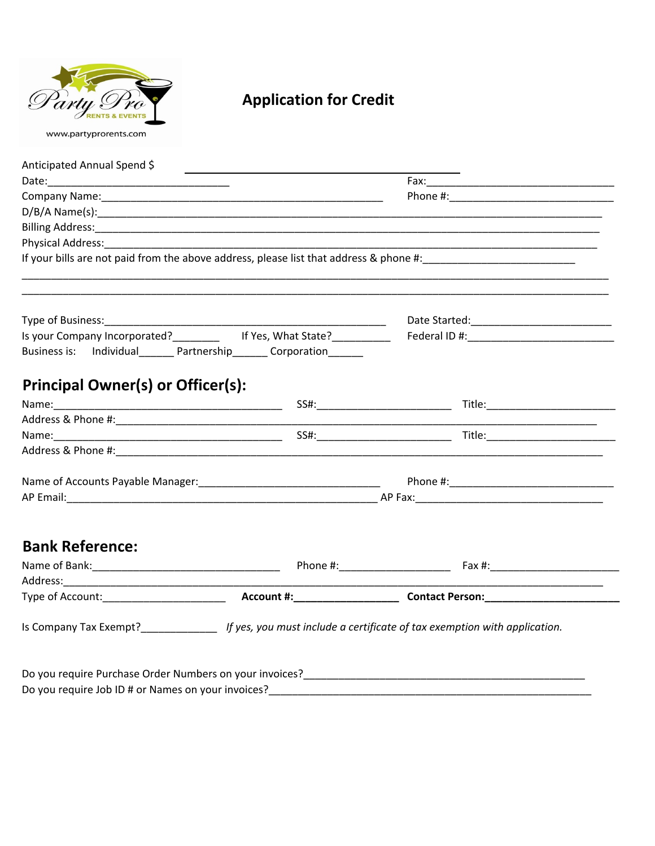

## **Application for Credit**

| Anticipated Annual Spend \$                                         | <u> 1989 - Johann Barn, amerikansk politiker (</u>                                                                     |                                                    |  |  |
|---------------------------------------------------------------------|------------------------------------------------------------------------------------------------------------------------|----------------------------------------------------|--|--|
|                                                                     |                                                                                                                        |                                                    |  |  |
|                                                                     |                                                                                                                        |                                                    |  |  |
|                                                                     |                                                                                                                        |                                                    |  |  |
| Physical Address: National Address:                                 |                                                                                                                        |                                                    |  |  |
|                                                                     |                                                                                                                        |                                                    |  |  |
|                                                                     |                                                                                                                        |                                                    |  |  |
|                                                                     |                                                                                                                        |                                                    |  |  |
|                                                                     |                                                                                                                        |                                                    |  |  |
|                                                                     | Is your Company Incorporated? ___________ If Yes, What State? __________                                               |                                                    |  |  |
| Business is: Individual_______ Partnership_______ Corporation______ |                                                                                                                        |                                                    |  |  |
| <b>Principal Owner(s) or Officer(s):</b>                            |                                                                                                                        |                                                    |  |  |
|                                                                     |                                                                                                                        |                                                    |  |  |
|                                                                     |                                                                                                                        |                                                    |  |  |
|                                                                     |                                                                                                                        |                                                    |  |  |
|                                                                     |                                                                                                                        |                                                    |  |  |
|                                                                     |                                                                                                                        |                                                    |  |  |
|                                                                     |                                                                                                                        |                                                    |  |  |
|                                                                     |                                                                                                                        |                                                    |  |  |
|                                                                     |                                                                                                                        |                                                    |  |  |
| <b>Bank Reference:</b>                                              |                                                                                                                        |                                                    |  |  |
|                                                                     |                                                                                                                        |                                                    |  |  |
|                                                                     |                                                                                                                        | <u> 1990 - Johann Barbara, martxa alemani</u> ar a |  |  |
|                                                                     |                                                                                                                        |                                                    |  |  |
|                                                                     |                                                                                                                        |                                                    |  |  |
|                                                                     | Is Company Tax Exempt?______________________ If yes, you must include a certificate of tax exemption with application. |                                                    |  |  |